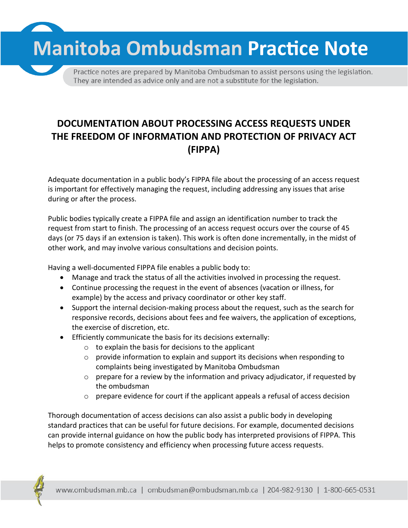**Manitoba Ombudsman Practice Note** 

Practice notes are prepared by Manitoba Ombudsman to assist persons using the legislation. They are intended as advice only and are not a substitute for the legislation.

## **DOCUMENTATION ABOUT PROCESSING ACCESS REQUESTS UNDER THE FREEDOM OF INFORMATION AND PROTECTION OF PRIVACY ACT (FIPPA)**

Adequate documentation in a public body's FIPPA file about the processing of an access request is important for effectively managing the request, including addressing any issues that arise during or after the process.

Public bodies typically create a FIPPA file and assign an identification number to track the request from start to finish. The processing of an access request occurs over the course of 45 days (or 75 days if an extension is taken). This work is often done incrementally, in the midst of other work, and may involve various consultations and decision points.

Having a well-documented FIPPA file enables a public body to:

- Manage and track the status of all the activities involved in processing the request.
- Continue processing the request in the event of absences (vacation or illness, for example) by the access and privacy coordinator or other key staff.
- Support the internal decision-making process about the request, such as the search for responsive records, decisions about fees and fee waivers, the application of exceptions, the exercise of discretion, etc.
- Efficiently communicate the basis for its decisions externally:
	- $\circ$  to explain the basis for decisions to the applicant
	- $\circ$  provide information to explain and support its decisions when responding to complaints being investigated by Manitoba Ombudsman
	- $\circ$  prepare for a review by the information and privacy adjudicator, if requested by the ombudsman
	- $\circ$  prepare evidence for court if the applicant appeals a refusal of access decision

Thorough documentation of access decisions can also assist a public body in developing standard practices that can be useful for future decisions. For example, documented decisions can provide internal guidance on how the public body has interpreted provisions of FIPPA. This helps to promote consistency and efficiency when processing future access requests.

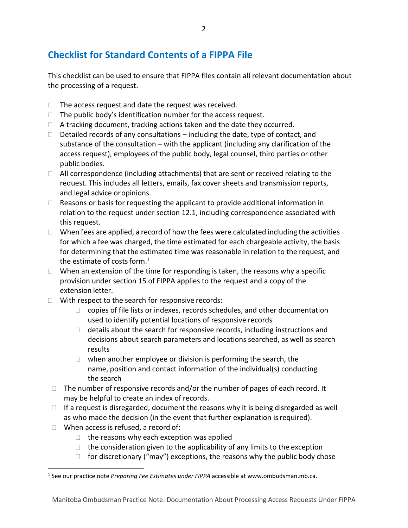## **Checklist for Standard Contents of a FIPPA File**

This checklist can be used to ensure that FIPPA files contain all relevant documentation about the processing of a request.

- $\Box$  The access request and date the request was received.
- $\Box$  The public body's identification number for the access request.
- $\Box$  A tracking document, tracking actions taken and the date they occurred.
- $\Box$  Detailed records of any consultations including the date, type of contact, and substance of the consultation – with the applicant (including any clarification of the access request), employees of the public body, legal counsel, third parties or other public bodies.
- $\Box$  All correspondence (including attachments) that are sent or received relating to the request. This includes all letters, emails, fax cover sheets and transmission reports, and legal advice oropinions.
- $\Box$  Reasons or basis for requesting the applicant to provide additional information in relation to the request under section 12.1, including correspondence associated with this request.
- $\Box$  When fees are applied, a record of how the fees were calculated including the activities for which a fee was charged, the time estimated for each chargeable activity, the basis for determining that the estimated time was reasonable in relation to the request, and the estimate of costs form. $1$
- $\Box$  When an extension of the time for responding is taken, the reasons why a specific provision under section 15 of FIPPA applies to the request and a copy of the extension letter.
- $\Box$  With respect to the search for responsive records:
	- $\Box$  copies of file lists or indexes, records schedules, and other documentation used to identify potential locations of responsive records
	- $\Box$  details about the search for responsive records, including instructions and decisions about search parameters and locations searched, as well as search results
	- $\Box$  when another employee or division is performing the search, the name, position and contact information of the individual(s) conducting the search
- $\Box$  The number of responsive records and/or the number of pages of each record. It may be helpful to create an index of records.
- $\Box$  If a request is disregarded, document the reasons why it is being disregarded as well as who made the decision (in the event that further explanation is required).
- $\Box$  When access is refused, a record of:
	- $\Box$  the reasons why each exception was applied
	- $\Box$  the consideration given to the applicability of any limits to the exception
	- $\Box$  for discretionary ("may") exceptions, the reasons why the public body chose

<span id="page-1-0"></span> <sup>1</sup> See our practice note *Preparing Fee Estimates under FIPPA* accessible at www.ombudsman.mb.ca.